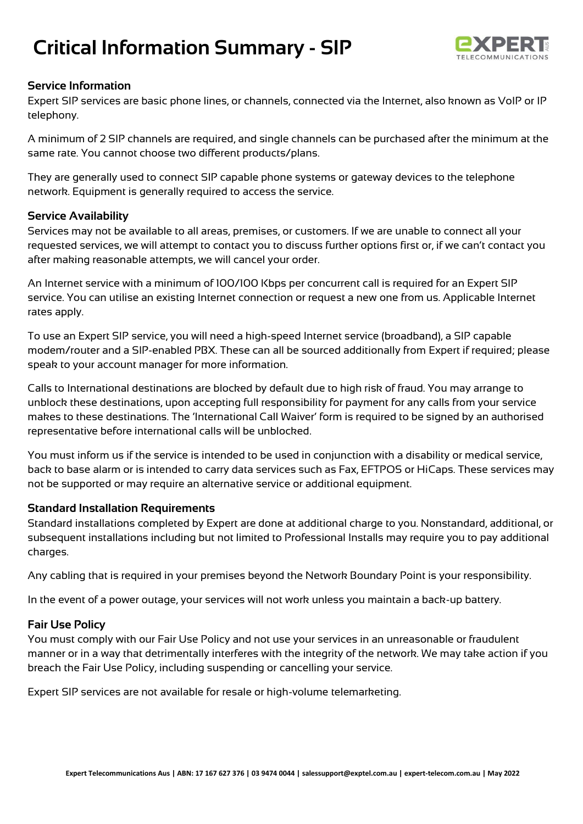# **Critical Information Summary - SIP**



### **Service Information**

Expert SIP services are basic phone lines, or channels, connected via the Internet, also known as VoIP or IP telephony.

A minimum of 2 SIP channels are required, and single channels can be purchased after the minimum at the same rate. You cannot choose two different products/plans.

They are generally used to connect SIP capable phone systems or gateway devices to the telephone network. Equipment is generally required to access the service.

### **Service Availability**

Services may not be available to all areas, premises, or customers. If we are unable to connect all your requested services, we will attempt to contact you to discuss further options first or, if we can't contact you after making reasonable attempts, we will cancel your order.

An Internet service with a minimum of 100/100 Kbps per concurrent call is required for an Expert SIP service. You can utilise an existing Internet connection or request a new one from us. Applicable Internet rates apply.

To use an Expert SIP service, you will need a high-speed Internet service (broadband), a SIP capable modem/router and a SIP-enabled PBX. These can all be sourced additionally from Expert if required; please speak to your account manager for more information.

Calls to International destinations are blocked by default due to high risk of fraud. You may arrange to unblock these destinations, upon accepting full responsibility for payment for any calls from your service makes to these destinations. The 'International Call Waiver' form is required to be signed by an authorised representative before international calls will be unblocked.

You must inform us if the service is intended to be used in conjunction with a disability or medical service, back to base alarm or is intended to carry data services such as Fax, EFTPOS or HiCaps. These services may not be supported or may require an alternative service or additional equipment.

#### **Standard Installation Requirements**

Standard installations completed by Expert are done at additional charge to you. Nonstandard, additional, or subsequent installations including but not limited to Professional Installs may require you to pay additional charges.

Any cabling that is required in your premises beyond the Network Boundary Point is your responsibility.

In the event of a power outage, your services will not work unless you maintain a back-up battery.

#### **Fair Use Policy**

You must comply with our Fair Use Policy and not use your services in an unreasonable or fraudulent manner or in a way that detrimentally interferes with the integrity of the network. We may take action if you breach the Fair Use Policy, including suspending or cancelling your service.

Expert SIP services are not available for resale or high-volume telemarketing.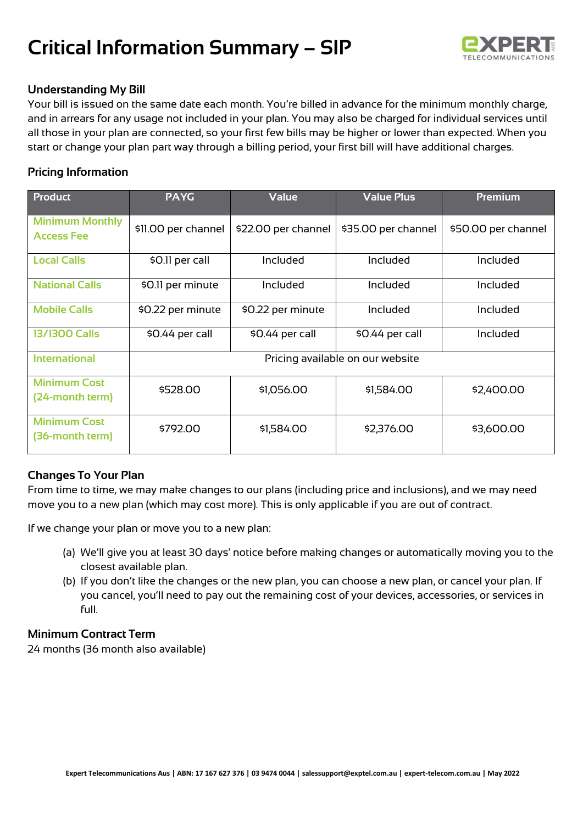# **Critical Information Summary – SIP**



## **Understanding My Bill**

Your bill is issued on the same date each month. You're billed in advance for the minimum monthly charge, and in arrears for any usage not included in your plan. You may also be charged for individual services until all those in your plan are connected, so your first few bills may be higher or lower than expected. When you start or change your plan part way through a billing period, your first bill will have additional charges.

## **Pricing Information**

| <b>Product</b>                              | <b>PAYG</b>                      | <b>Value</b>        | <b>Value Plus</b>   | <b>Premium</b>      |
|---------------------------------------------|----------------------------------|---------------------|---------------------|---------------------|
| <b>Minimum Monthly</b><br><b>Access Fee</b> | \$11.00 per channel              | \$22.00 per channel | \$35.00 per channel | \$50.00 per channel |
| <b>Local Calls</b>                          | \$0.11 per call                  | Included            | Included            | Included            |
| <b>National Calls</b>                       | \$0.11 per minute                | Included            | Included            | Included            |
| <b>Mobile Calls</b>                         | \$0.22 per minute                | \$0.22 per minute   | Included            | Included            |
| <b>13/1300 Calls</b>                        | \$0.44 per call                  | \$0.44 per call     | \$0.44 per call     | Included            |
| <b>International</b>                        | Pricing available on our website |                     |                     |                     |
| <b>Minimum Cost</b><br>(24-month term)      | \$528.00                         | \$1,056.00          | \$1,584.00          | \$2,400.00          |
| <b>Minimum Cost</b><br>(36-month term)      | \$792.00                         | \$1,584.00          | \$2,376.00          | \$3,600.00          |

## **Changes To Your Plan**

From time to time, we may make changes to our plans (including price and inclusions), and we may need move you to a new plan (which may cost more). This is only applicable if you are out of contract.

If we change your plan or move you to a new plan:

- (a) We'll give you at least 30 days' notice before making changes or automatically moving you to the closest available plan.
- (b) If you don't like the changes or the new plan, you can choose a new plan, or cancel your plan. If you cancel, you'll need to pay out the remaining cost of your devices, accessories, or services in full.

## **Minimum Contract Term**

24 months (36 month also available)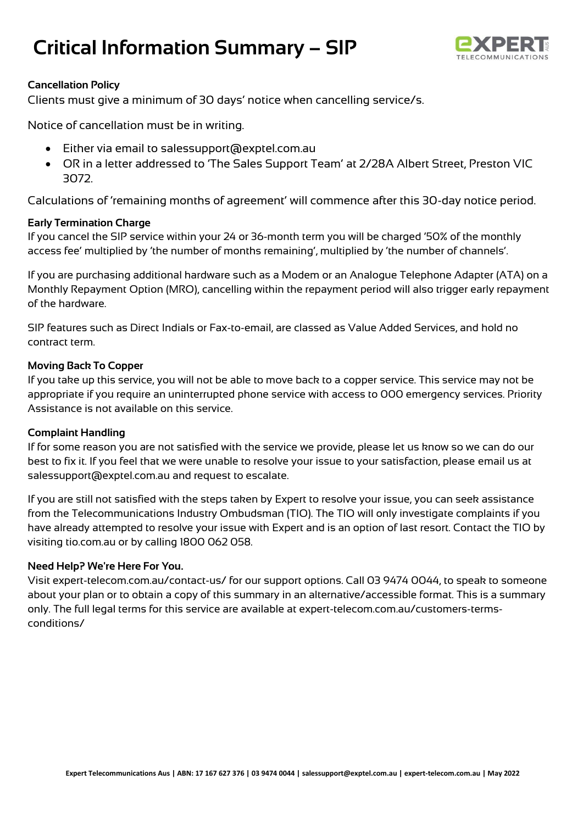# **Critical Information Summary – SIP**



## **Cancellation Policy**

Clients must give a minimum of 30 days' notice when cancelling service/s.

Notice of cancellation must be in writing.

- Either via email to salessupport@exptel.com.au
- OR in a letter addressed to 'The Sales Support Team' at 2/28A Albert Street, Preston VIC 3072.

Calculations of 'remaining months of agreement' will commence after this 30-day notice period.

## **Early Termination Charge**

If you cancel the SIP service within your 24 or 36-month term you will be charged '50% of the monthly access fee' multiplied by 'the number of months remaining', multiplied by 'the number of channels'.

If you are purchasing additional hardware such as a Modem or an Analogue Telephone Adapter (ATA) on a Monthly Repayment Option (MRO), cancelling within the repayment period will also trigger early repayment of the hardware.

SIP features such as Direct Indials or Fax-to-email, are classed as Value Added Services, and hold no contract term.

### **Moving Back To Copper**

If you take up this service, you will not be able to move back to a copper service. This service may not be appropriate if you require an uninterrupted phone service with access to 000 emergency services. Priority Assistance is not available on this service.

#### **Complaint Handling**

If for some reason you are not satisfied with the service we provide, please let us know so we can do our best to fix it. If you feel that we were unable to resolve your issue to your satisfaction, please email us at salessupport@exptel.com.au and request to escalate.

If you are still not satisfied with the steps taken by Expert to resolve your issue, you can seek assistance from the Telecommunications Industry Ombudsman (TIO). The TIO will only investigate complaints if you have already attempted to resolve your issue with Expert and is an option of last resort. Contact the TIO by visiting tio.com.au or by calling 1800 062 058.

## **Need Help? We're Here For You.**

Visit expert-telecom.com.au/contact-us/ for our support options. Call 03 9474 0044, to speak to someone about your plan or to obtain a copy of this summary in an alternative/accessible format. This is a summary only. The full legal terms for this service are available at expert-telecom.com.au/customers-termsconditions/